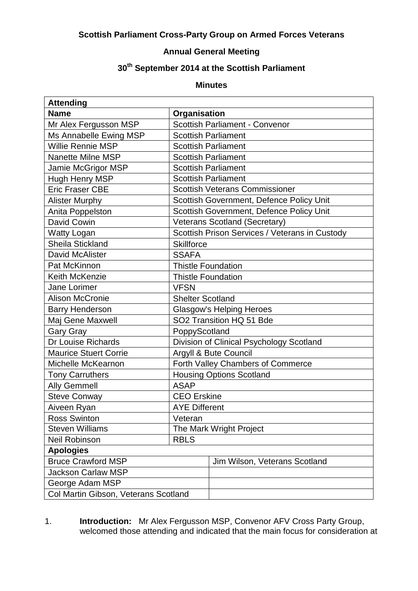## **Scottish Parliament Cross-Party Group on Armed Forces Veterans**

## **Annual General Meeting**

## **30 th September 2014 at the Scottish Parliament**

## **Minutes**

| <b>Attending</b>                     |                                       |                                                |  |
|--------------------------------------|---------------------------------------|------------------------------------------------|--|
| <b>Name</b>                          | Organisation                          |                                                |  |
| Mr Alex Fergusson MSP                |                                       | <b>Scottish Parliament - Convenor</b>          |  |
| Ms Annabelle Ewing MSP               |                                       | <b>Scottish Parliament</b>                     |  |
| <b>Willie Rennie MSP</b>             |                                       | <b>Scottish Parliament</b>                     |  |
| <b>Nanette Milne MSP</b>             | <b>Scottish Parliament</b>            |                                                |  |
| Jamie McGrigor MSP                   | <b>Scottish Parliament</b>            |                                                |  |
| Hugh Henry MSP                       | <b>Scottish Parliament</b>            |                                                |  |
| <b>Eric Fraser CBE</b>               | <b>Scottish Veterans Commissioner</b> |                                                |  |
| <b>Alister Murphy</b>                |                                       | Scottish Government, Defence Policy Unit       |  |
| Anita Poppelston                     |                                       | Scottish Government, Defence Policy Unit       |  |
| David Cowin                          |                                       | Veterans Scotland (Secretary)                  |  |
| <b>Watty Logan</b>                   |                                       | Scottish Prison Services / Veterans in Custody |  |
| Sheila Stickland                     | <b>Skillforce</b>                     |                                                |  |
| David McAlister                      | <b>SSAFA</b>                          |                                                |  |
| Pat McKinnon                         | <b>Thistle Foundation</b>             |                                                |  |
| Keith McKenzie                       | <b>Thistle Foundation</b>             |                                                |  |
| Jane Lorimer                         | <b>VFSN</b>                           |                                                |  |
| <b>Alison McCronie</b>               | <b>Shelter Scotland</b>               |                                                |  |
| <b>Barry Henderson</b>               | Glasgow's Helping Heroes              |                                                |  |
| Maj Gene Maxwell                     | SO2 Transition HQ 51 Bde              |                                                |  |
| <b>Gary Gray</b>                     | PoppyScotland                         |                                                |  |
| Dr Louise Richards                   |                                       | Division of Clinical Psychology Scotland       |  |
| <b>Maurice Stuert Corrie</b>         |                                       | Argyll & Bute Council                          |  |
| Michelle McKearnon                   | Forth Valley Chambers of Commerce     |                                                |  |
| <b>Tony Carruthers</b>               | <b>Housing Options Scotland</b>       |                                                |  |
| <b>Ally Gemmell</b>                  | <b>ASAP</b>                           |                                                |  |
| <b>Steve Conway</b>                  | <b>CEO</b> Erskine                    |                                                |  |
| Aiveen Ryan                          | <b>AYE Different</b>                  |                                                |  |
| <b>Ross Swinton</b>                  | Veteran                               |                                                |  |
| <b>Steven Williams</b>               | The Mark Wright Project               |                                                |  |
| <b>Neil Robinson</b>                 | <b>RBLS</b>                           |                                                |  |
| <b>Apologies</b>                     |                                       |                                                |  |
| <b>Bruce Crawford MSP</b>            |                                       | Jim Wilson, Veterans Scotland                  |  |
| <b>Jackson Carlaw MSP</b>            |                                       |                                                |  |
| George Adam MSP                      |                                       |                                                |  |
| Col Martin Gibson, Veterans Scotland |                                       |                                                |  |

1. **Introduction:** Mr Alex Fergusson MSP, Convenor AFV Cross Party Group, welcomed those attending and indicated that the main focus for consideration at